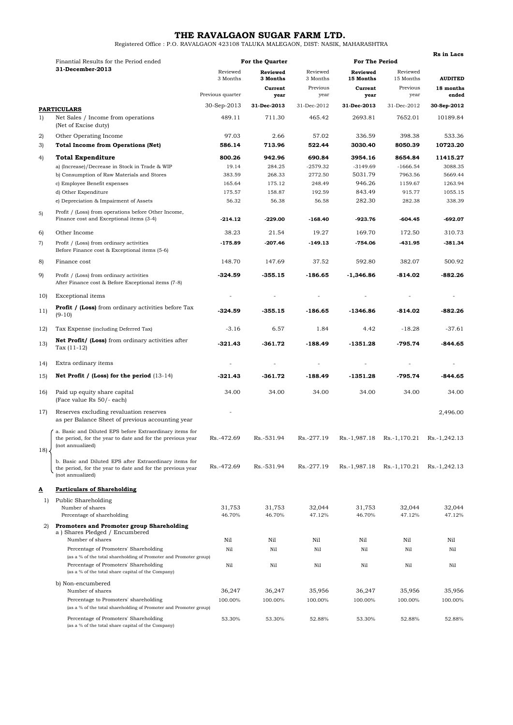**THE RAVALGAON SUGAR FARM LTD.** Registered Office : P.O. RAVALGAON 423108 TALUKA MALEGAON, DIST: NASIK, MAHARASHTRA

|     |                                                                                                                                          |                      |                      |                      |                       |                       | Rs in Lacs         |  |
|-----|------------------------------------------------------------------------------------------------------------------------------------------|----------------------|----------------------|----------------------|-----------------------|-----------------------|--------------------|--|
|     | Finantial Results for the Period ended<br>31-December-2013                                                                               | For the Quarter      |                      |                      | For The Period        |                       |                    |  |
|     |                                                                                                                                          | Reviewed<br>3 Months | Reviewed<br>3 Months | Reviewed<br>3 Months | Reviewed<br>15 Months | Reviewed<br>15 Months | <b>AUDITED</b>     |  |
|     |                                                                                                                                          | Previous quarter     | Current<br>year      | Previous<br>year     | Current<br>year       | Previous<br>year      | 18 months<br>ended |  |
|     | <b>PARTICULARS</b>                                                                                                                       | 30-Sep-2013          | 31-Dec-2013          | 31-Dec-2012          | 31-Dec-2013           | 31-Dec-2012           | 30-Sep-2012        |  |
| 1)  | Net Sales / Income from operations<br>(Net of Excise duty)                                                                               | 489.11               | 711.30               | 465.42               | 2693.81               | 7652.01               | 10189.84           |  |
| 2)  | Other Operating Income                                                                                                                   | 97.03                | 2.66                 | 57.02                | 336.59                | 398.38                | 533.36             |  |
| 3)  | <b>Total Income from Operations (Net)</b>                                                                                                | 586.14               | 713.96               | 522.44               | 3030.40               | 8050.39               | 10723.20           |  |
| 4)  | <b>Total Expenditure</b>                                                                                                                 | 800.26               | 942.96               | 690.84               | 3954.16               | 8654.84               | 11415.27           |  |
|     | a) (Increase)/Decrease in Stock in Trade & WIP                                                                                           | 19.14                | 284.25               | -2579.32             | $-3149.69$            | $-1666.54$            | 3088.35            |  |
|     | b) Consumption of Raw Materials and Stores                                                                                               | 383.59               | 268.33               | 2772.50              | 5031.79               | 7963.56               | 5669.44            |  |
|     | c) Employee Benefit expenses                                                                                                             | 165.64               | 175.12               | 248.49               | 946.26                | 1159.67               | 1263.94            |  |
|     | d) Other Expenditure<br>e) Depreciation & Impairment of Assets                                                                           | 175.57<br>56.32      | 158.87<br>56.38      | 192.59<br>56.58      | 843.49<br>282.30      | 915.77<br>282.38      | 1055.15<br>338.39  |  |
|     |                                                                                                                                          |                      |                      |                      |                       |                       |                    |  |
| 5)  | Profit / (Loss) from operations before Other Income,<br>Finance cost and Exceptional items (3-4)                                         | $-214.12$            | $-229.00$            | $-168.40$            | -923.76               | -604.45               | -692.07            |  |
| 6)  | Other Income                                                                                                                             | 38.23                | 21.54                | 19.27                | 169.70                | 172.50                | 310.73             |  |
| 7)  | Profit / (Loss) from ordinary activities<br>Before Finance cost & Exceptional items (5-6)                                                | $-175.89$            | $-207.46$            | $-149.13$            | $-754.06$             | $-431.95$             | $-381.34$          |  |
| 8)  | Finance cost                                                                                                                             | 148.70               | 147.69               | 37.52                | 592.80                | 382.07                | 500.92             |  |
| 9)  | Profit / (Loss) from ordinary activities<br>After Finance cost & Before Exceptional items (7-8)                                          | $-324.59$            | $-355.15$            | $-186.65$            | $-1,346.86$           | -814.02               | $-882.26$          |  |
| 10) | Exceptional items                                                                                                                        |                      |                      |                      |                       |                       |                    |  |
| 11) | <b>Profit / (Loss)</b> from ordinary activities before Tax<br>$(9-10)$                                                                   | $-324.59$            | $-355.15$            | $-186.65$            | $-1346.86$            | -814.02               | $-882.26$          |  |
| 12) | Tax Expense (including Deferred Tax)                                                                                                     | $-3.16$              | 6.57                 | 1.84                 | 4.42                  | $-18.28$              | $-37.61$           |  |
| 13) | Net Profit/ (Loss) from ordinary activities after                                                                                        | $-321.43$            | $-361.72$            | $-188.49$            | $-1351.28$            | -795.74               | $-844.65$          |  |
|     | Tax $(11-12)$                                                                                                                            |                      |                      |                      |                       |                       |                    |  |
| 14) | Extra ordinary items                                                                                                                     |                      |                      |                      |                       |                       |                    |  |
| 15) | Net Profit / (Loss) for the period $(13-14)$                                                                                             | $-321.43$            | -361.72              | $-188.49$            | $-1351.28$            | -795.74               | -844.65            |  |
| 16) | Paid up equity share capital<br>(Face value Rs 50/- each)                                                                                | 34.00                | 34.00                | 34.00                | 34.00                 | 34.00                 | 34.00              |  |
| 17) | Reserves excluding revaluation reserves<br>as per Balance Sheet of previous accounting year                                              |                      |                      |                      |                       |                       | 2,496.00           |  |
|     | a. Basic and Diluted EPS before Extraordinary items for                                                                                  |                      |                      |                      |                       |                       |                    |  |
| 18) | the period, for the year to date and for the previous year<br>(not annualized)                                                           | Rs.-472.69           | Rs.-531.94           | Rs.-277.19           | Rs.-1,987.18          | Rs.-1,170.21          | Rs.-1,242.13       |  |
|     | b. Basic and Diluted EPS after Extraordinary items for<br>the period, for the year to date and for the previous year<br>(not annualized) | Rs.-472.69           | Rs.-531.94           | Rs.-277.19           | Rs.-1,987.18          | Rs.-1,170.21          | Rs.-1,242.13       |  |
|     |                                                                                                                                          |                      |                      |                      |                       |                       |                    |  |
| ≜   | <b>Particulars of Shareholding</b>                                                                                                       |                      |                      |                      |                       |                       |                    |  |
| 1)  | Public Shareholding                                                                                                                      |                      |                      |                      |                       |                       |                    |  |
|     | Number of shares<br>Percentage of shareholding                                                                                           | 31,753<br>46.70%     | 31,753<br>46.70%     | 32,044<br>47.12%     | 31,753<br>46.70%      | 32,044<br>47.12%      | 32,044<br>47.12%   |  |
| 2)  | <b>Promoters and Promoter group Shareholding</b>                                                                                         |                      |                      |                      |                       |                       |                    |  |
|     | a) Shares Pledged / Encumbered                                                                                                           |                      |                      |                      |                       |                       |                    |  |
|     | Number of shares                                                                                                                         | Nil                  | Nil                  | Nil                  | Nil                   | Nil                   | Nil                |  |
|     | Percentage of Promoters' Shareholding<br>(as a % of the total shareholding of Promoter and Promoter group)                               | Nil                  | Nil                  | Nil                  | Nil                   | Nil                   | Nil                |  |
|     | Percentage of Promoters' Shareholding<br>(as a % of the total share capital of the Company)                                              | Nil                  | Nil                  | Nil                  | Nil                   | Nil                   | Nil                |  |
|     | b) Non-encumbered                                                                                                                        |                      |                      |                      |                       |                       |                    |  |
|     | Number of shares                                                                                                                         | 36,247               | 36,247               | 35,956               | 36,247                | 35,956                | 35,956             |  |
|     | Percentage to Promoters' shareholding<br>(as a % of the total shareholding of Promoter and Promoter group)                               | 100.00%              | 100.00%              | 100.00%              | 100.00%               | 100.00%               | 100.00%            |  |
|     | Percentage of Promoters' Shareholding<br>(as a % of the total share capital of the Company)                                              | 53.30%               | 53.30%               | 52.88%               | 53.30%                | 52.88%                | 52.88%             |  |